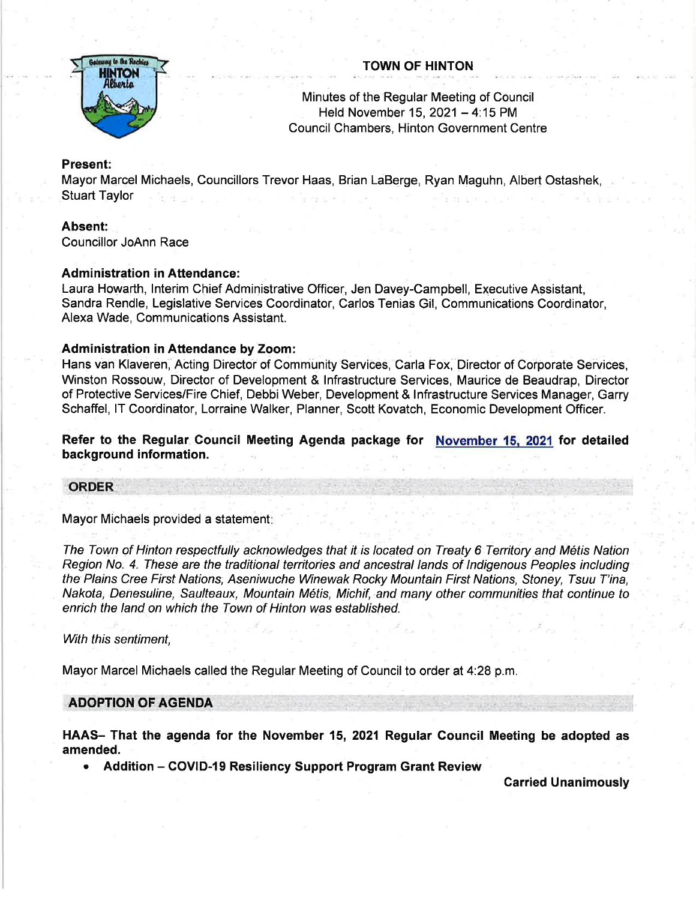

# TOWN OF HINTON

Minutes of the Regular Meeting of Council Held November 15, 2021 - 4:15 PM Council Chambers, Hinton Government Centre

## Present:

Mayor Marcel Michaels, Councillors Trevor Haas, Brian LaBerge, Ryan Maguhn, Albert Ostashek, Stuart Taylor

## Absent: ,

Councillor JoAnn Race

## Administration in Attendance:

Laura Howarth, lnterim Chief Administrative Officer, Jen Davey-Campbell, Executive Assistant, Sandra Rendle, Legislative Services Coordinator, Carlos Tenias Gil, Communications Coordinator, Alexa Wade, Communications Assistant.

## Administration in Attendance by Zoom:

Hans van Klaveren, Acting Director of Community Services, Carla Fox, Director of Corporate Services, Winston Rossouw, Director of Development & lnfrastructure Services, Maurice de Beaudrap, Director of Protective Services/Fire Chief, Debbi Weber, Development & Infrastructure Services Manager, Garry Schaffel, lT Coordinator, Lorraine Walker, Planner, Scott Kovatch, Economic Development Officer.

Refer to the Regular Gouncil Meeting Agenda package for November 15. 2021 for detailed background information.

## ORDER

Mayor Michaels provided a statement:

The Town of Hinton respectfully acknowledges that it is located on Treaty 6 Territory and Metis Nation Region No. 4. These are the traditional territories and ancestral lands of lndigenous Peoples inctuding the Plains Cree First Nations, Aseniwuche Winewak Rocky Mountain First Nations, Sfoney, Tsuu T'ina, Nakota, Denesuline, Saulteaux, Mountain Métis, Michif, and many other communities that continue to enrich the land on which the Town of Hinton was established.

## With this sentiment.

Mayor Marcel Michaels called the Regular Meeting of Council to order at 4:28 p.m.

## **ADOPTION OF AGENDA**

HAAS- That the agenda for the November 15, 2021 Regular Council Meeting be adopted as amended.

Addition - COVID-19 Resiliency Support Program Grant Review

Carried Unanimously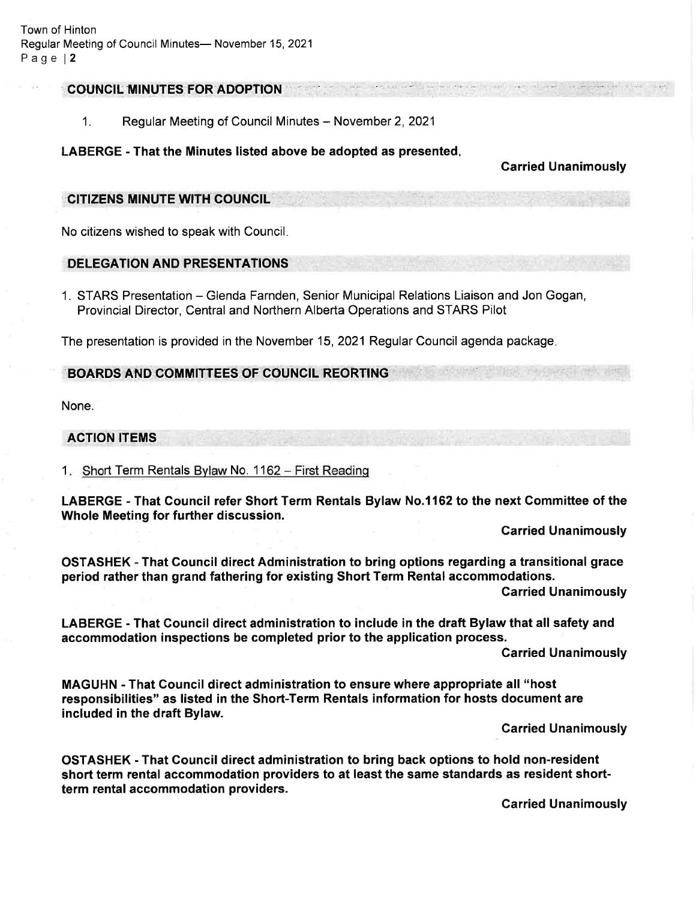#### COUNCIL MINUTES FOR ADOPTION

1. Regular Meeting of Council Minutes – November 2, 2021

#### LABERGE - That the Minutes listed above be adopted as presented

#### Carried Unanimously

#### CITiZENS MINUTE WTH COUNCIL

No citizens wished to speak with Council

## DELEGATION AND PRESENTATIONS

1. STARS Presentation – Glenda Farnden, Senior Municipal Relations Liaison and Jon Gogan, Provincial Director, Central and Northern Alberta Operations and STARS Pilot

The presentation is provided in the November 15, 2021 Regular Council agenda package.

## BOARDS AND COMMITTEES OF COUNCIL REORTING

None.

#### ACTION ITEMS

1. Short Term Rentals Bylaw No. 1162 - First Reading

LABERGE - That Gouncil refer Short Term Rentals Bylaw No.l162 to the next Committee of the Whole Meeting for further discussion.

Carried Unanimously

OSTASHEK - That Gouncil direct Administration to bring options regarding a transitional grace period rather than grand fathering for existing Short Term Rental accommodations.

Garried Unanimously

LABERGE - That Council direct administration to include in the draft Bylaw that all safety and accommodation inspections be completed prior to the application process.

Garried Unanimously

MAGUHN - That Gouncil direct administration to ensure where appropriate all "host responsibilities" as listed in the Short-Term Rentals information for hosts document are included in the draft Bylaw.

Garried Unanimously

OSTASHEK - That Council direct administration to bring back options to hold non-resident short term rental accommodation providers to at least the same standards as resident shortterm rental accommodation providers.

Carried Unanimously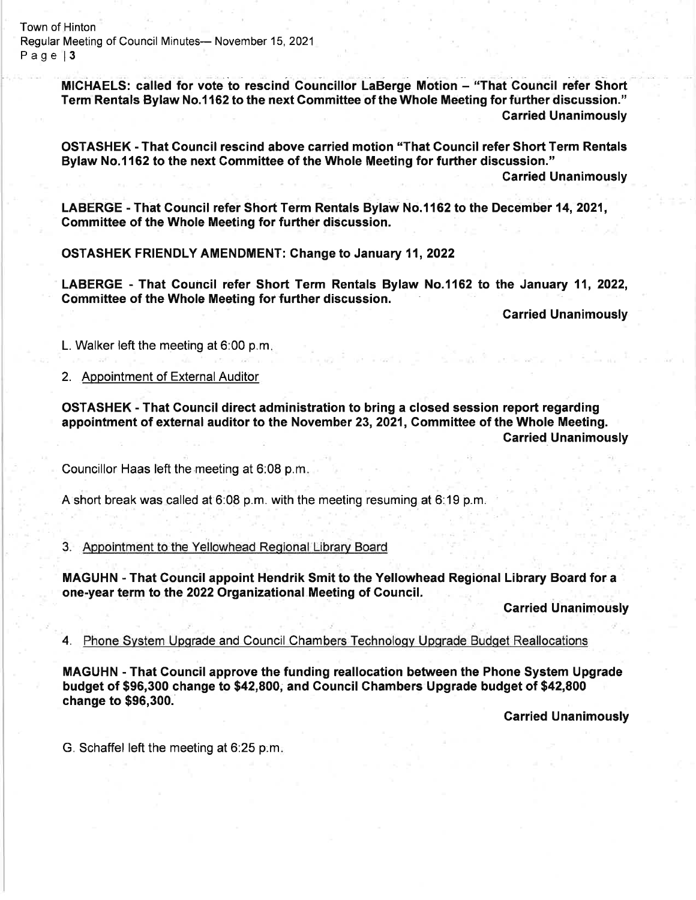Town of Hinton Regular Meeting of Council Minutes- November 15, 2021 Page 13

> MICHAELS: called for vote to rescind Councillor LaBerge Motion - "That Council refer Short Term Rentals Bylaw No.1162 to the next Committee of the Whole Meeting for further discussion." Carried Unanimously

> OSTASHEK - That Council rescind above carried motion "That Council refer Short Term Rentals Bylaw No.1162 to the next Committee of the Whole Meeting for further discussion."

> > Carried Unanimously

LABERGE - That Council refer Short Term Rentals Bylaw No.1162 to the December 14, 2021, Gommittee of the Whole Meeting for further discussion

OSTASHEK FRIENDLY AMENDMENT: Change to January 11,2022

LABERGE - That Council refer Short Term Rentals Bylaw No.1162 to the January 11, 2022, Gommittee of the Whole Meeting for further discussion.

Garried Unanimously

L. Walker left the meeting at 6:00 p.m

#### 2. Appointment of External Auditor

OSTASHEK - That Council direct administration to bring a closed session report regarding appointment of external auditor to the November 23, 2021, Committee of the Whole Meeting. Carried Unanimously

Councillor Haas left the meeting at 6:08 p.m.

A short break was called at 6:08 p.m. with the meeting resuming at 6:19 p.m,

#### 3. Appointment to the Yellowhead Regional Library Board

MAGUHN - That Council appoint Hendrik Smit to the Yellowhead Regional Library Board for a one-year term to the 2022 Organizational Meeting of Gouncil.

**Carried Unanimously** 

4. Phone System Upgrade and Council Chambers Technology Upgrade Budget Reallocations

MAGUHN - That Council approve the funding reallocation between the Phone System Upgrade budget of \$96,300 change to \$42,800, and Gouncil Chambers Upgrade budget of \$42,800 change to \$96,300.

**Carried Unanimously** 

G. Schaffel left the meeting at 6:25 p:m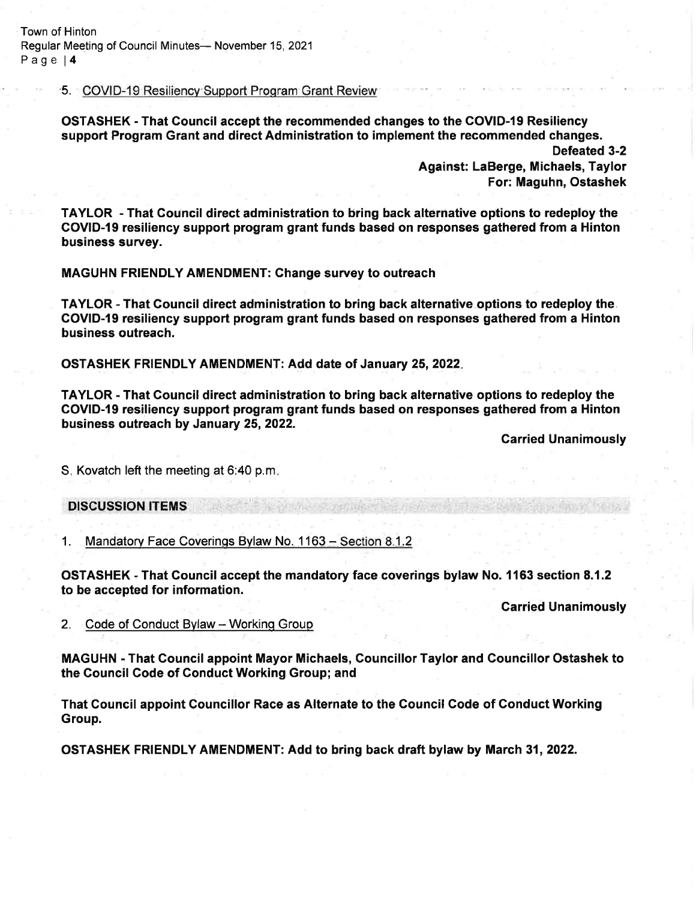Town of Hinton Regular Meeting of Council Minutes- November 15, 2021 Page <sup>14</sup>

5. COVID'19 Resiliencv-Support Prosram Grant Review

OSTASHEK - That Council accept the recommended changes to the COVID-l9 Resiliency support Program Grant and direct Administration to implement the recommended changes.

> Defeated 3-2 Against: LaBerge, Michaels, Taylor For: Maguhn, Ostashek

TAYLOR - That Gouncil direct administration to bring back alternative options to redeploy the COVID-l9 resiliency support program grant funds based on responses gathered from a Hinton business survey.

MAGUHN FRIENDLY AMENDMENT: Ghange survey to outreach

TAYLOR - That Gouncil direct administration to bring back alternative options to redeploy the. GOVID-19 resiliency support program grant funds based on responses gathered from a Hinton business outreach.

OSTASHEK FRIENDLY AMENDMENT: Add date of January 25,2022

TAYLOR - That Gouncil direct administration to bring back alternative options to redeploy the COVID-19 resiliency support program grant funds based on responses gathered from a Hinton business outreach by January 25, 2022.

**Carried Unanimously** 

S. Kovatch left the meeting at 6:40 p.m

**DISCUSSION ITEMS** 

1. Mandatory Face Coverings Bylaw No. 1163 – Section 8.1.2

OSTASHEK - That Gouncil accept the mandatory face coverings bylaw No. 1163 section 8.1.2 to be accepted for information.

Garried Unanimously

2. Code of Conduct Bylaw - Working Group

MAGUHN - That Gouncil appoint Mayor Michaels, Councillor Taylor and Councillor Ostashek to the Council Code of Gonduct Working Group; and

That Council appoint Gouncillor Race as Alternate to the Gouncil Gode of Conduct Working Group.

OSTASHEK FRIENDLY AMENDMENT: Add to bring back draft bylaw by March 31,2022.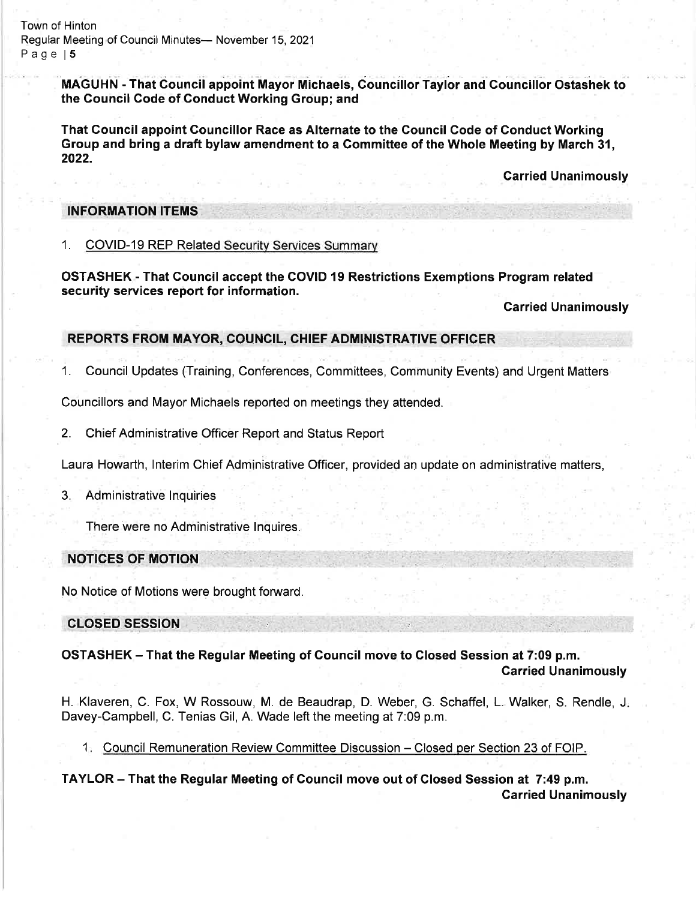Town of Hinton Regular Meeting of Council Minutes- November 15, 2021 Page 15

> MAGUHN - That Council appoint Mayor Michaels, Councillor Taylor and Councillor Ostashek to the Council Code of Gonduct Working Group; and

That Gouncil appoint Gouncillor Race as Alternate to the Council Gode of Gonduct Working Group and bring a draft bylaw amendment to a Commiffee of the Whole Meeting by March 31, 2022.

Garried Unanimously

#### INFORMATION ITEMS

1. COVID-19 REP Related Securitv Services Summarv

OSTASHEK - That Gouncil accept the GOVID 19 Restrictions Exemptions Program related security services report for information.

**Carried Unanimously** 

## REPORTS FROM MAYOR, COUNCIL, CHIEF ADMINISTRATIVE OFFICER

1. Council Updates (Training, Conferences, Committees, Community Events) and Urgent Matters

Councillors and Mayor Michaels reported on meetings they attended.

2. Chief Administrative Officer Report and Status Report

Laura Howarth, lnterim Chief Administrative Officer, provided an update on administrative matters,

#### 3. Administrative lnquiries

There were no Administrative lnquires.

# NOTIGES OF MOTION

No Notice of Motions were brought forward.

CLOSED SESSION

OSTASHEK - That the Regular Meeting of Council move to Closed Session at 7:09 p.m. Garried Unanimously

H. Klaveren, C. Fox, W Rossouw, M. de Beaudrap, D. Weber, G. Schaffel, L. Walker, S. Rendle, J Davey-Campbell, C. Tenias Gil, A. Wade left the meeting at 7:09 p.m.

1. Council Remuneration Review Committee Discussion - Closed per Section 23 of FOIP.

TAYLOR - That the Regular Meeting of Gouncil move out of Glosed Session at 7:49 p.m. Carried Unanimously